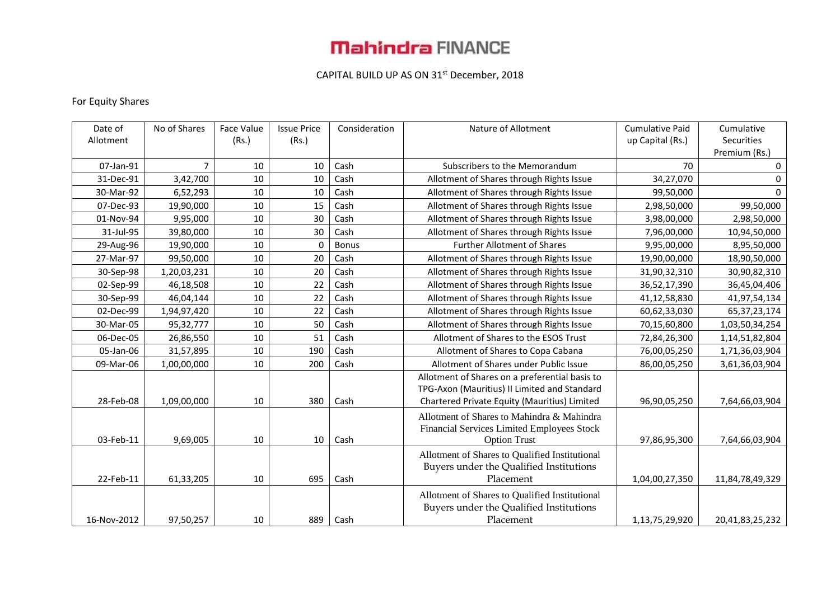# **Mahindra FINANCE**

### CAPITAL BUILD UP AS ON 31<sup>st</sup> December, 2018

### For Equity Shares

| Date of     | No of Shares   | Face Value | <b>Issue Price</b> | Consideration | Nature of Allotment                            | <b>Cumulative Paid</b> | Cumulative      |
|-------------|----------------|------------|--------------------|---------------|------------------------------------------------|------------------------|-----------------|
| Allotment   |                | (Rs.)      | (Rs.)              |               |                                                | up Capital (Rs.)       | Securities      |
|             |                |            |                    |               |                                                |                        | Premium (Rs.)   |
| 07-Jan-91   | $\overline{7}$ | 10         | 10                 | Cash          | Subscribers to the Memorandum                  | 70                     | 0               |
| 31-Dec-91   | 3,42,700       | 10         | 10                 | Cash          | Allotment of Shares through Rights Issue       | 34,27,070              | 0               |
| 30-Mar-92   | 6,52,293       | 10         | 10                 | Cash          | Allotment of Shares through Rights Issue       | 99,50,000              | $\mathbf 0$     |
| 07-Dec-93   | 19,90,000      | 10         | 15                 | Cash          | Allotment of Shares through Rights Issue       | 2,98,50,000            | 99,50,000       |
| 01-Nov-94   | 9,95,000       | 10         | 30                 | Cash          | Allotment of Shares through Rights Issue       | 3,98,00,000            | 2,98,50,000     |
| 31-Jul-95   | 39,80,000      | 10         | 30                 | Cash          | Allotment of Shares through Rights Issue       | 7,96,00,000            | 10,94,50,000    |
| 29-Aug-96   | 19,90,000      | 10         | $\Omega$           | <b>Bonus</b>  | <b>Further Allotment of Shares</b>             | 9,95,00,000            | 8,95,50,000     |
| 27-Mar-97   | 99,50,000      | 10         | 20                 | Cash          | Allotment of Shares through Rights Issue       | 19,90,00,000           | 18,90,50,000    |
| 30-Sep-98   | 1,20,03,231    | 10         | 20                 | Cash          | Allotment of Shares through Rights Issue       | 31,90,32,310           | 30,90,82,310    |
| 02-Sep-99   | 46,18,508      | 10         | 22                 | Cash          | Allotment of Shares through Rights Issue       | 36,52,17,390           | 36,45,04,406    |
| 30-Sep-99   | 46,04,144      | 10         | 22                 | Cash          | Allotment of Shares through Rights Issue       | 41,12,58,830           | 41,97,54,134    |
| 02-Dec-99   | 1,94,97,420    | 10         | 22                 | Cash          | Allotment of Shares through Rights Issue       | 60,62,33,030           | 65, 37, 23, 174 |
| 30-Mar-05   | 95,32,777      | 10         | 50                 | Cash          | Allotment of Shares through Rights Issue       | 70,15,60,800           | 1,03,50,34,254  |
| 06-Dec-05   | 26,86,550      | 10         | 51                 | Cash          | Allotment of Shares to the ESOS Trust          | 72,84,26,300           | 1,14,51,82,804  |
| 05-Jan-06   | 31,57,895      | 10         | 190                | Cash          | Allotment of Shares to Copa Cabana             | 76,00,05,250           | 1,71,36,03,904  |
| 09-Mar-06   | 1,00,00,000    | 10         | 200                | Cash          | Allotment of Shares under Public Issue         | 86,00,05,250           | 3,61,36,03,904  |
|             |                |            |                    |               | Allotment of Shares on a preferential basis to |                        |                 |
|             |                |            |                    |               | TPG-Axon (Mauritius) II Limited and Standard   |                        |                 |
| 28-Feb-08   | 1,09,00,000    | 10         | 380                | Cash          | Chartered Private Equity (Mauritius) Limited   | 96,90,05,250           | 7,64,66,03,904  |
|             |                |            |                    |               | Allotment of Shares to Mahindra & Mahindra     |                        |                 |
|             |                | 10         |                    |               | Financial Services Limited Employees Stock     |                        |                 |
| 03-Feb-11   | 9,69,005       |            | 10                 | Cash          | <b>Option Trust</b>                            | 97,86,95,300           | 7,64,66,03,904  |
|             |                |            |                    |               | Allotment of Shares to Qualified Institutional |                        |                 |
|             |                |            |                    |               | Buyers under the Qualified Institutions        |                        |                 |
| 22-Feb-11   | 61,33,205      | 10         | 695                | Cash          | Placement                                      | 1,04,00,27,350         | 11,84,78,49,329 |
|             |                |            |                    |               | Allotment of Shares to Qualified Institutional |                        |                 |
|             |                |            |                    |               | Buyers under the Qualified Institutions        |                        |                 |
| 16-Nov-2012 | 97,50,257      | 10         | 889                | Cash          | Placement                                      | 1,13,75,29,920         | 20,41,83,25,232 |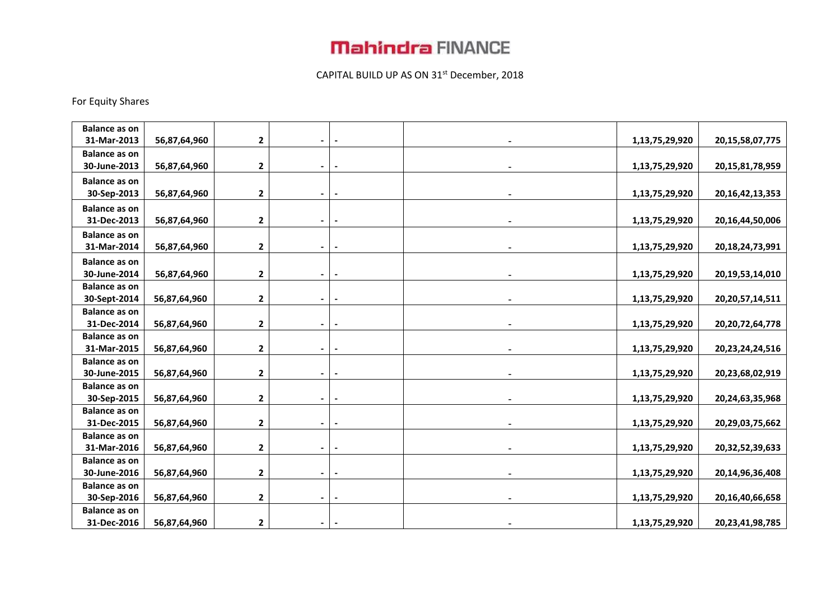# **Mahindra FINANCE**

## CAPITAL BUILD UP AS ON 31<sup>st</sup> December, 2018

### For Equity Shares

| <b>Balance as on</b>                |              |                |                |                          |                |                     |
|-------------------------------------|--------------|----------------|----------------|--------------------------|----------------|---------------------|
| 31-Mar-2013                         | 56,87,64,960 | $\mathbf{2}$   |                |                          | 1,13,75,29,920 | 20, 15, 58, 07, 775 |
| <b>Balance as on</b>                |              |                |                |                          |                |                     |
| 30-June-2013                        | 56,87,64,960 | $\mathbf 2$    | $\blacksquare$ |                          | 1,13,75,29,920 | 20, 15, 81, 78, 959 |
| <b>Balance as on</b>                |              |                |                |                          |                |                     |
| 30-Sep-2013                         | 56,87,64,960 | $\mathbf{2}$   |                |                          | 1,13,75,29,920 | 20, 16, 42, 13, 353 |
| <b>Balance as on</b>                |              |                |                |                          |                |                     |
| 31-Dec-2013                         | 56,87,64,960 | $\mathbf 2$    |                |                          | 1,13,75,29,920 | 20, 16, 44, 50, 006 |
| <b>Balance as on</b>                |              |                |                |                          |                |                     |
| 31-Mar-2014                         | 56,87,64,960 | $\mathbf{2}$   |                | $\overline{\phantom{a}}$ | 1,13,75,29,920 | 20, 18, 24, 73, 991 |
| <b>Balance as on</b>                |              |                |                |                          |                |                     |
| 30-June-2014                        | 56,87,64,960 | $\mathbf{2}$   |                | $\blacksquare$           | 1,13,75,29,920 | 20,19,53,14,010     |
| <b>Balance as on</b>                |              |                |                |                          |                |                     |
| 30-Sept-2014                        | 56,87,64,960 | $\mathbf 2$    |                |                          | 1,13,75,29,920 | 20, 20, 57, 14, 511 |
| <b>Balance as on</b>                |              |                |                |                          |                |                     |
| 31-Dec-2014                         | 56,87,64,960 | $\mathbf{2}$   | $\blacksquare$ | $\overline{\phantom{a}}$ | 1,13,75,29,920 | 20, 20, 72, 64, 778 |
| <b>Balance as on</b>                |              |                |                |                          |                |                     |
| 31-Mar-2015                         | 56,87,64,960 | $\mathbf 2$    |                |                          | 1,13,75,29,920 | 20, 23, 24, 24, 516 |
| <b>Balance as on</b>                |              |                |                |                          |                |                     |
| 30-June-2015                        | 56,87,64,960 | 2              | $\blacksquare$ |                          | 1,13,75,29,920 | 20,23,68,02,919     |
| <b>Balance as on</b>                |              |                |                |                          |                |                     |
| 30-Sep-2015                         | 56,87,64,960 | $\mathbf 2$    |                |                          | 1,13,75,29,920 | 20,24,63,35,968     |
| <b>Balance as on</b>                |              |                |                |                          |                |                     |
| 31-Dec-2015                         | 56,87,64,960 | $\overline{2}$ |                |                          | 1,13,75,29,920 | 20,29,03,75,662     |
| <b>Balance as on</b><br>31-Mar-2016 | 56,87,64,960 | $\mathbf{2}$   |                |                          |                | 20,32,52,39,633     |
| <b>Balance as on</b>                |              |                |                |                          | 1,13,75,29,920 |                     |
| 30-June-2016                        | 56,87,64,960 | $\mathbf{2}$   |                |                          | 1,13,75,29,920 | 20, 14, 96, 36, 408 |
| <b>Balance as on</b>                |              |                |                |                          |                |                     |
| 30-Sep-2016                         | 56,87,64,960 | $\mathbf{2}$   | $\blacksquare$ | $\blacksquare$           | 1,13,75,29,920 | 20,16,40,66,658     |
| <b>Balance as on</b>                |              |                |                |                          |                |                     |
| 31-Dec-2016                         | 56,87,64,960 | $\mathbf{2}$   |                |                          | 1,13,75,29,920 | 20,23,41,98,785     |
|                                     |              |                |                |                          |                |                     |